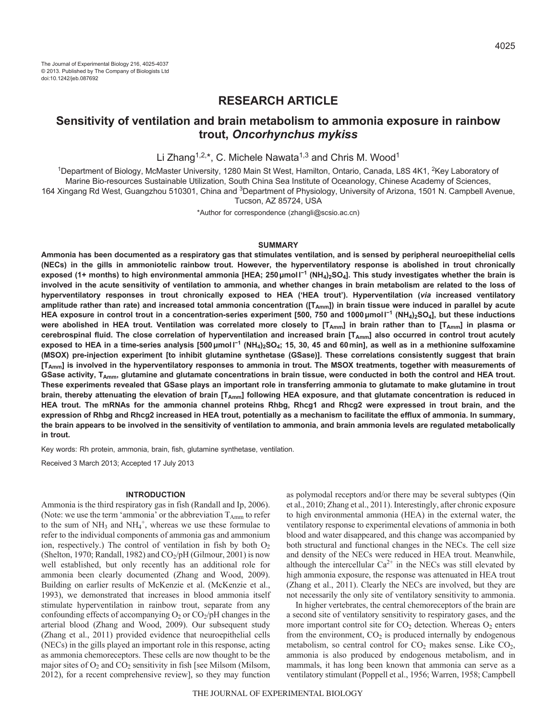# **RESEARCH ARTICLE**

# **Sensitivity of ventilation and brain metabolism to ammonia exposure in rainbow trout,** *Oncorhynchus mykiss*

Li Zhang<sup>1,2,\*</sup>, C. Michele Nawata<sup>1,3</sup> and Chris M. Wood<sup>1</sup>

<sup>1</sup>Department of Biology, McMaster University, 1280 Main St West, Hamilton, Ontario, Canada, L8S 4K1, <sup>2</sup>Key Laboratory of Marine Bio-resources Sustainable Utilization, South China Sea Institute of Oceanology, Chinese Academy of Sciences, 164 Xingang Rd West, Guangzhou 510301, China and <sup>3</sup>Department of Physiology, University of Arizona, 1501 N. Campbell Avenue,

Tucson, AZ 85724, USA

\*Author for correspondence (zhangli@scsio.ac.cn)

# **SUMMARY**

**Ammonia has been documented as a respiratory gas that stimulates ventilation, and is sensed by peripheral neuroepithelial cells (NECs) in the gills in ammoniotelic rainbow trout. However, the hyperventilatory response is abolished in trout chronically exposed (1+ months) to high environmental ammonia [HEA; 250μmoll <sup>−</sup><sup>1</sup> (NH4)2SO4]. This study investigates whether the brain is involved in the acute sensitivity of ventilation to ammonia, and whether changes in brain metabolism are related to the loss of hyperventilatory responses in trout chronically exposed to HEA ('HEA trout'). Hyperventilation (***via* **increased ventilatory** amplitude rather than rate) and increased total ammonia concentration ([T<sub>Amm</sub>]) in brain tissue were induced in parallel by acute **HEA exposure in control trout in a concentration-series experiment [500, 750 and 1000μmoll <sup>−</sup><sup>1</sup> (NH4)2SO4], but these inductions** were abolished in HEA trout. Ventilation was correlated more closely to [T<sub>Amm</sub>] in brain rather than to [T<sub>Amm</sub>] in plasma or cerebrospinal fluid. The close correlation of hyperventilation and increased brain [T<sub>Amm</sub>] also occurred in control trout acutely **exposed to HEA in a time-series analysis [500μmoll <sup>−</sup><sup>1</sup> (NH4)2SO4; 15, 30, 45 and 60min], as well as in a methionine sulfoxamine (MSOX) pre-injection experiment [to inhibit glutamine synthetase (GSase)]. These correlations consistently suggest that brain [TAmm] is involved in the hyperventilatory responses to ammonia in trout. The MSOX treatments, together with measurements of** GSase activity, T<sub>Amm</sub>, glutamine and glutamate concentrations in brain tissue, were conducted in both the control and HEA trout. **These experiments revealed that GSase plays an important role in transferring ammonia to glutamate to make glutamine in trout brain, thereby attenuating the elevation of brain [TAmm] following HEA exposure, and that glutamate concentration is reduced in HEA trout. The mRNAs for the ammonia channel proteins Rhbg, Rhcg1 and Rhcg2 were expressed in trout brain, and the expression of Rhbg and Rhcg2 increased in HEA trout, potentially as a mechanism to facilitate the efflux of ammonia. In summary, the brain appears to be involved in the sensitivity of ventilation to ammonia, and brain ammonia levels are regulated metabolically in trout.**

Key words: Rh protein, ammonia, brain, fish, glutamine synthetase, ventilation.

Received 3 March 2013; Accepted 17 July 2013

## **INTRODUCTION**

Ammonia is the third respiratory gas in fish (Randall and Ip, 2006). (Note: we use the term 'ammonia' or the abbreviation  $T_{Amm}$  to refer to the sum of  $NH_3$  and  $NH_4^+$ , whereas we use these formulae to refer to the individual components of ammonia gas and ammonium ion, respectively.) The control of ventilation in fish by both  $O<sub>2</sub>$ (Shelton, 1970; Randall, 1982) and  $CO<sub>2</sub>/pH$  (Gilmour, 2001) is now well established, but only recently has an additional role for ammonia been clearly documented (Zhang and Wood, 2009). Building on earlier results of McKenzie et al. (McKenzie et al., 1993), we demonstrated that increases in blood ammonia itself stimulate hyperventilation in rainbow trout, separate from any confounding effects of accompanying  $O_2$  or  $CO_2/pH$  changes in the arterial blood (Zhang and Wood, 2009). Our subsequent study (Zhang et al., 2011) provided evidence that neuroepithelial cells (NECs) in the gills played an important role in this response, acting as ammonia chemoreceptors. These cells are now thought to be the major sites of  $O_2$  and  $CO_2$  sensitivity in fish [see Milsom (Milsom, 2012), for a recent comprehensive review], so they may function as polymodal receptors and/or there may be several subtypes (Qin et al., 2010; Zhang et al., 2011). Interestingly, after chronic exposure to high environmental ammonia (HEA) in the external water, the ventilatory response to experimental elevations of ammonia in both blood and water disappeared, and this change was accompanied by both structural and functional changes in the NECs. The cell size and density of the NECs were reduced in HEA trout. Meanwhile, although the intercellular  $Ca^{2+}$  in the NECs was still elevated by high ammonia exposure, the response was attenuated in HEA trout (Zhang et al., 2011). Clearly the NECs are involved, but they are not necessarily the only site of ventilatory sensitivity to ammonia.

In higher vertebrates, the central chemoreceptors of the brain are a second site of ventilatory sensitivity to respiratory gases, and the more important control site for  $CO<sub>2</sub>$  detection. Whereas  $O<sub>2</sub>$  enters from the environment, CO<sub>2</sub> is produced internally by endogenous metabolism, so central control for  $CO<sub>2</sub>$  makes sense. Like  $CO<sub>2</sub>$ , ammonia is also produced by endogenous metabolism, and in mammals, it has long been known that ammonia can serve as a ventilatory stimulant (Poppell et al., 1956; Warren, 1958; Campbell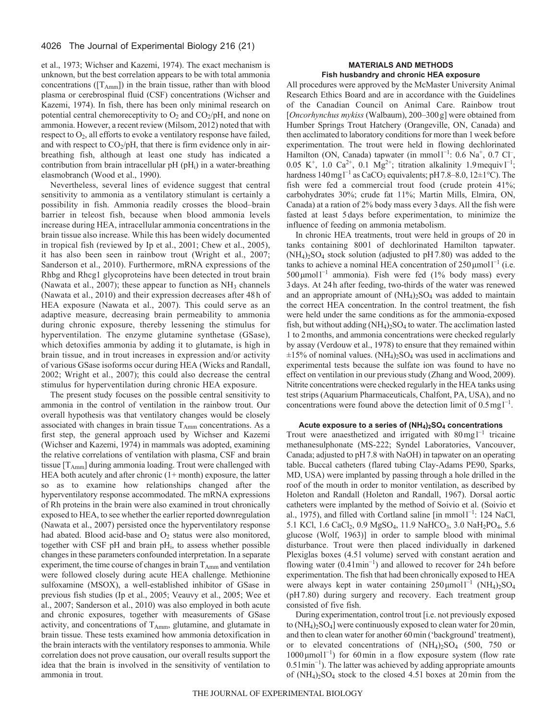et al., 1973; Wichser and Kazemi, 1974). The exact mechanism is unknown, but the best correlation appears to be with total ammonia concentrations ( $[T_{Amm}]$ ) in the brain tissue, rather than with blood plasma or cerebrospinal fluid (CSF) concentrations (Wichser and Kazemi, 1974). In fish, there has been only minimal research on potential central chemoreceptivity to  $O_2$  and  $CO_2/pH$ , and none on ammonia. However, a recent review (Milsom, 2012) noted that with respect to  $O_2$ , all efforts to evoke a ventilatory response have failed, and with respect to  $CO_2/pH$ , that there is firm evidence only in airbreathing fish, although at least one study has indicated a contribution from brain intracellular  $pH (pH<sub>i</sub>)$  in a water-breathing elasmobranch (Wood et al., 1990).

Nevertheless, several lines of evidence suggest that central sensitivity to ammonia as a ventilatory stimulant is certainly a possibility in fish. Ammonia readily crosses the blood–brain barrier in teleost fish, because when blood ammonia levels increase during HEA, intracellular ammonia concentrations in the brain tissue also increase. While this has been widely documented in tropical fish (reviewed by Ip et al., 2001; Chew et al., 2005), it has also been seen in rainbow trout (Wright et al., 2007; Sanderson et al., 2010). Furthermore, mRNA expressions of the Rhbg and Rhcg1 glycoproteins have been detected in trout brain (Nawata et al., 2007); these appear to function as  $NH<sub>3</sub>$  channels (Nawata et al., 2010) and their expression decreases after 48 h of HEA exposure (Nawata et al., 2007). This could serve as an adaptive measure, decreasing brain permeability to ammonia during chronic exposure, thereby lessening the stimulus for hyperventilation. The enzyme glutamine synthetase (GSase), which detoxifies ammonia by adding it to glutamate, is high in brain tissue, and in trout increases in expression and/or activity of various GSase isoforms occur during HEA (Wicks and Randall, 2002; Wright et al., 2007); this could also decrease the central stimulus for hyperventilation during chronic HEA exposure.

The present study focuses on the possible central sensitivity to ammonia in the control of ventilation in the rainbow trout. Our overall hypothesis was that ventilatory changes would be closely associated with changes in brain tissue TAmm concentrations. As a first step, the general approach used by Wichser and Kazemi (Wichser and Kazemi, 1974) in mammals was adopted, examining the relative correlations of ventilation with plasma, CSF and brain tissue  $[T_{Amm}]$  during ammonia loading. Trout were challenged with HEA both acutely and after chronic (1+ month) exposure, the latter so as to examine how relationships changed after the hyperventilatory response accommodated. The mRNA expressions of Rh proteins in the brain were also examined in trout chronically exposed to HEA, to see whether the earlier reported downregulation (Nawata et al., 2007) persisted once the hyperventilatory response had abated. Blood acid-base and  $O_2$  status were also monitored, together with CSF pH and brain pH<sub>i</sub>, to assess whether possible changes in these parameters confounded interpretation. In a separate experiment, the time course of changes in brain  $T_{Amm}$  and ventilation were followed closely during acute HEA challenge. Methionine sulfoxamine (MSOX), a well-established inhibitor of GSase in previous fish studies (Ip et al., 2005; Veauvy et al., 2005; Wee et al., 2007; Sanderson et al., 2010) was also employed in both acute and chronic exposures, together with measurements of GSase activity, and concentrations of  $T_{Amm}$ , glutamine, and glutamate in brain tissue. These tests examined how ammonia detoxification in the brain interacts with the ventilatory responses to ammonia. While correlation does not prove causation, our overall results support the idea that the brain is involved in the sensitivity of ventilation to ammonia in trout.

# **MATERIALS AND METHODS Fish husbandry and chronic HEA exposure**

All procedures were approved by the McMaster University Animal Research Ethics Board and are in accordance with the Guidelines of the Canadian Council on Animal Care. Rainbow trout [*Oncorhynchus mykiss* (Walbaum), 200–300g] were obtained from Humber Springs Trout Hatchery (Orangeville, ON, Canada) and then acclimated to laboratory conditions for more than 1 week before experimentation. The trout were held in flowing dechlorinated Hamilton (ON, Canada) tapwater (in mmol<sup>1-1</sup>: 0.6 Na<sup>+</sup>, 0.7 Cl<sup>-</sup>, 0.05 K<sup>+</sup>, 1.0 Ca<sup>2+</sup>, 0.1 Mg<sup>2+</sup>; titration alkalinity 1.9 mequiv l<sup>-1</sup>; hardness  $140 \text{ mg} 1^{-1}$  as CaCO<sub>3</sub> equivalents; pH 7.8–8.0,  $12\pm1^{\circ}$ C). The fish were fed a commercial trout food (crude protein 41%; carbohydrates 30%; crude fat 11%; Martin Mills, Elmira, ON, Canada) at a ration of 2% body mass every 3days. All the fish were fasted at least 5days before experimentation, to minimize the influence of feeding on ammonia metabolism.

In chronic HEA treatments, trout were held in groups of 20 in tanks containing 8001 of dechlorinated Hamilton tapwater.  $(NH<sub>4</sub>)<sub>2</sub>SO<sub>4</sub>$  stock solution (adjusted to pH7.80) was added to the tanks to achieve a nominal HEA concentration of  $250 \mu$ mol<sup>1-1</sup> (i.e. 500 μmol<sup>1-1</sup> ammonia). Fish were fed (1% body mass) every 3days. At 24h after feeding, two-thirds of the water was renewed and an appropriate amount of  $(NH<sub>4</sub>)<sub>2</sub>SO<sub>4</sub>$  was added to maintain the correct HEA concentration. In the control treatment, the fish were held under the same conditions as for the ammonia-exposed fish, but without adding  $(NH_4)_2SO_4$  to water. The acclimation lasted 1 to 2months, and ammonia concentrations were checked regularly by assay (Verdouw et al., 1978) to ensure that they remained within  $\pm 15\%$  of nominal values. (NH<sub>4</sub>)<sub>2</sub>SO<sub>4</sub> was used in acclimations and experimental tests because the sulfate ion was found to have no effect on ventilation in our previous study (Zhang and Wood, 2009). Nitrite concentrations were checked regularly in the HEA tanks using test strips (Aquarium Pharmaceuticals, Chalfont, PA, USA), and no concentrations were found above the detection limit of  $0.5 \text{ mg} \cdot 1^{-1}$ .

## **Acute exposure to a series of (NH4)2SO4 concentrations**

Trout were anaesthetized and irrigated with  $80 \,\text{mg}^{-1}$  tricaine methanesulphonate (MS-222; Syndel Laboratories, Vancouver, Canada; adjusted to pH7.8 with NaOH) in tapwater on an operating table. Buccal catheters (flared tubing Clay-Adams PE90, Sparks, MD, USA) were implanted by passing through a hole drilled in the roof of the mouth in order to monitor ventilation, as described by Holeton and Randall (Holeton and Randall, 1967). Dorsal aortic catheters were implanted by the method of Soivio et al. (Soivio et al., 1975), and filled with Cortland saline  $\lceil \text{in mmol} \rceil^{-1}$ : 124 NaCl, 5.1 KCl, 1.6 CaCl<sub>2</sub>, 0.9 MgSO<sub>4</sub>, 11.9 NaHCO<sub>3</sub>, 3.0 NaH<sub>2</sub>PO<sub>4</sub>, 5.6 glucose (Wolf, 1963)] in order to sample blood with minimal disturbance. Trout were then placed individually in darkened Plexiglas boxes (4.5l volume) served with constant aeration and flowing water (0.4lmin<sup>−</sup><sup>1</sup> ) and allowed to recover for 24h before experimentation. The fish that had been chronically exposed to HEA were always kept in water containing  $250 \mu \text{mol}^{-1}$  (NH<sub>4</sub>)<sub>2</sub>SO<sub>4</sub> (pH7.80) during surgery and recovery. Each treatment group consisted of five fish.

During experimentation, control trout [i.e. not previously exposed to (NH4)2SO4] were continuously exposed to clean water for 20min, and then to clean water for another 60min ('background' treatment), or to elevated concentrations of  $(NH_4)_2SO_4$  (500, 750 or 1000 μmol<sup>1-1</sup>) for 60 min in a flow exposure system (flow rate 0.5lmin<sup>−</sup><sup>1</sup> ). The latter was achieved by adding appropriate amounts of  $(NH_4)_2SO_4$  stock to the closed 4.51 boxes at 20 min from the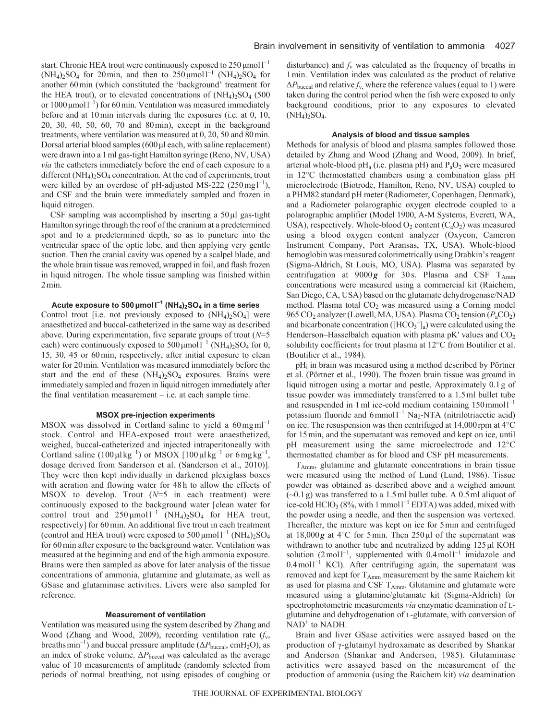start. Chronic HEA trout were continuously exposed to  $250 \mu$ moll<sup>-1</sup> (NH<sub>4</sub>)<sub>2</sub>SO<sub>4</sub> for 20 min, and then to 250 µmol<sup>1<sup>-1</sup></sup> (NH<sub>4</sub>)<sub>2</sub>SO<sub>4</sub> for another 60min (which constituted the 'background' treatment for the HEA trout), or to elevated concentrations of  $(NH<sub>4</sub>)<sub>2</sub>SO<sub>4</sub>$  (500 or  $1000 \mu$ mol $1^{-1}$ ) for 60 min. Ventilation was measured immediately before and at 10min intervals during the exposures (i.e. at 0, 10, 20, 30, 40, 50, 60, 70 and 80min), except in the background treatments, where ventilation was measured at 0, 20, 50 and 80min. Dorsal arterial blood samples (600μl each, with saline replacement) were drawn into a 1ml gas-tight Hamilton syringe (Reno, NV, USA) *via* the catheters immediately before the end of each exposure to a different  $(NH_4)_2SO_4$  concentration. At the end of experiments, trout were killed by an overdose of pH-adjusted MS-222 (250 mg  $I^{-1}$ ), and CSF and the brain were immediately sampled and frozen in liquid nitrogen.

CSF sampling was accomplished by inserting a  $50 \mu$ l gas-tight Hamilton syringe through the roof of the cranium at a predetermined spot and to a predetermined depth, so as to puncture into the ventricular space of the optic lobe, and then applying very gentle suction. Then the cranial cavity was opened by a scalpel blade, and the whole brain tissue was removed, wrapped in foil, and flash frozen in liquid nitrogen. The whole tissue sampling was finished within 2min.

# **Acute exposure to 500μmoll <sup>−</sup><sup>1</sup> (NH4)2SO4 in a time series**

Control trout [i.e. not previously exposed to  $(NH<sub>4</sub>)<sub>2</sub>SO<sub>4</sub>$ ] were anaesthetized and buccal-catheterized in the same way as described above. During experimentation, five separate groups of trout (*N*=5 each) were continuously exposed to  $500 \mu \text{mol}^{-1}$  (NH<sub>4</sub>)<sub>2</sub>SO<sub>4</sub> for 0, 15, 30, 45 or 60min, respectively, after initial exposure to clean water for 20min. Ventilation was measured immediately before the start and the end of these  $(NH_4)_2SO_4$  exposures. Brains were immediately sampled and frozen in liquid nitrogen immediately after the final ventilation measurement – i.e. at each sample time.

#### **MSOX pre-injection experiments**

MSOX was dissolved in Cortland saline to yield a  $60 \text{ mg} \text{ml}^{-1}$ stock. Control and HEA-exposed trout were anaesthetized, weighed, buccal-catheterized and injected intraperitoneally with Cortland saline  $(100 \mu l kg^{-1})$  or MSOX  $[100 \mu l kg^{-1}]$  or 6 mg kg<sup>-1</sup>, dosage derived from Sanderson et al. (Sanderson et al., 2010)]. They were then kept individually in darkened plexiglass boxes with aeration and flowing water for 48h to allow the effects of MSOX to develop. Trout (*N*=5 in each treatment) were continuously exposed to the background water [clean water for control trout and  $250 \mu \text{mol}^{-1}$  (NH<sub>4</sub>)<sub>2</sub>SO<sub>4</sub> for HEA trout, respectively] for 60min. An additional five trout in each treatment (control and HEA trout) were exposed to  $500 \mu \text{mol}^{-1}$  (NH<sub>4</sub>)<sub>2</sub>SO<sub>4</sub> for 60min after exposure to the background water. Ventilation was measured at the beginning and end of the high ammonia exposure. Brains were then sampled as above for later analysis of the tissue concentrations of ammonia, glutamine and glutamate, as well as GSase and glutaminase activities. Livers were also sampled for reference.

## **Measurement of ventilation**

Ventilation was measured using the system described by Zhang and Wood (Zhang and Wood, 2009), recording ventilation rate (*f*v, breaths min<sup>-1</sup>) and buccal pressure amplitude ( $\Delta P_{\text{buccal}}$ , cmH<sub>2</sub>O), as an index of stroke volume. Δ*P*buccal was calculated as the average value of 10 measurements of amplitude (randomly selected from periods of normal breathing, not using episodes of coughing or disturbance) and  $f<sub>v</sub>$  was calculated as the frequency of breaths in 1min. Ventilation index was calculated as the product of relative  $\Delta P_{\text{buccal}}$  and relative  $f_{v}$ , where the reference values (equal to 1) were taken during the control period when the fish were exposed to only background conditions, prior to any exposures to elevated  $(NH_4)_2SO_4$ .

## **Analysis of blood and tissue samples**

Methods for analysis of blood and plasma samples followed those detailed by Zhang and Wood (Zhang and Wood, 2009). In brief, arterial whole-blood  $pH_a$  (i.e. plasma  $pH$ ) and  $P_aO_2$  were measured in 12°C thermostatted chambers using a combination glass pH microelectrode (Biotrode, Hamilton, Reno, NV, USA) coupled to a PHM82 standard pH meter (Radiometer, Copenhagen, Denmark), and a Radiometer polarographic oxygen electrode coupled to a polarographic amplifier (Model 1900, A-M Systems, Everett, WA, USA), respectively. Whole-blood  $O_2$  content  $(C_aO_2)$  was measured using a blood oxygen content analyzer (Oxycon, Cameron Instrument Company, Port Aransas, TX, USA). Whole-blood hemoglobin was measured colorimetrically using Drabkin's reagent (Sigma-Aldrich, St Louis, MO, USA). Plasma was separated by centrifugation at  $9000 g$  for 30 s. Plasma and CSF T<sub>Amm</sub> concentrations were measured using a commercial kit (Raichem, San Diego, CA, USA) based on the glutamate dehydrogenase/NAD method. Plasma total  $CO<sub>2</sub>$  was measured using a Corning model 965 CO<sub>2</sub> analyzer (Lowell, MA, USA). Plasma CO<sub>2</sub> tension ( $P_aCO_2$ ) and bicarbonate concentration ( $[HCO_3^-]_a$ ) were calculated using the Henderson–Hasselbalch equation with plasma  $pK'$  values and  $CO<sub>2</sub>$ solubility coefficients for trout plasma at 12°C from Boutilier et al. (Boutilier et al., 1984).

pHi in brain was measured using a method described by Pörtner et al. (Pörtner et al., 1990). The frozen brain tissue was ground in liquid nitrogen using a mortar and pestle. Approximately 0.1g of tissue powder was immediately transferred to a 1.5ml bullet tube and resuspended in 1 ml ice-cold medium containing  $150$  mmol $1^{-1}$ potassium fluoride and 6mmol<sup>1-1</sup> Na<sub>2</sub>-NTA (nitrilotriacetic acid) on ice. The resuspension was then centrifuged at  $14,000$  rpm at  $4^{\circ}$ C for 15min, and the supernatant was removed and kept on ice, until pH measurement using the same microelectrode and 12°C thermostatted chamber as for blood and CSF pH measurements.

TAmm, glutamine and glutamate concentrations in brain tissue were measured using the method of Lund (Lund, 1986). Tissue powder was obtained as described above and a weighed amount  $(\sim 0.1 \text{ g})$  was transferred to a 1.5ml bullet tube. A 0.5ml aliquot of ice-cold  $HClO<sub>3</sub>$  (8%, with 1 mmol<sup>1-1</sup> EDTA) was added, mixed with the powder using a needle, and then the suspension was vortexed. Thereafter, the mixture was kept on ice for 5min and centrifuged at 18,000*g* at 4°C for 5min. Then 250μl of the supernatant was withdrawn to another tube and neutralized by adding 125μl KOH solution  $(2 \text{ mol}^{-1})$ , supplemented with  $0.4 \text{ mol}^{-1}$  imidazole and  $0.4 \text{ mol}^{-1}$  KCl). After centrifuging again, the supernatant was removed and kept for T<sub>Amm</sub> measurement by the same Raichem kit as used for plasma and CSF  $T_{Amm}$ . Glutamine and glutamate were measured using a glutamine/glutamate kit (Sigma-Aldrich) for spectrophotometric measurements *via* enzymatic deamination of Lglutamine and dehydrogenation of L-glutamate, with conversion of  $NAD<sup>+</sup>$  to NADH.

Brain and liver GSase activities were assayed based on the production of γ-glutamyl hydroxamate as described by Shankar and Anderson (Shankar and Anderson, 1985). Glutaminase activities were assayed based on the measurement of the production of ammonia (using the Raichem kit) *via* deamination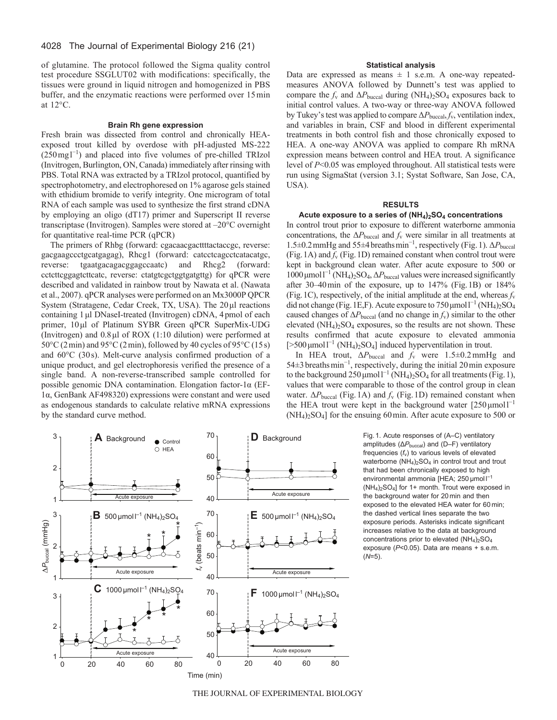of glutamine. The protocol followed the Sigma quality control test procedure SSGLUT02 with modifications: specifically, the tissues were ground in liquid nitrogen and homogenized in PBS buffer, and the enzymatic reactions were performed over 15min at 12°C.

#### **Brain Rh gene expression**

Fresh brain was dissected from control and chronically HEAexposed trout killed by overdose with pH-adjusted MS-222  $(250 \text{ mg} l^{-1})$  and placed into five volumes of pre-chilled TRIzol (Invitrogen, Burlington, ON, Canada) immediately after rinsing with PBS. Total RNA was extracted by a TRIzol protocol, quantified by spectrophotometry, and electrophoresed on 1% agarose gels stained with ethidium bromide to verify integrity. One microgram of total RNA of each sample was used to synthesize the first strand cDNA by employing an oligo (dT17) primer and Superscript II reverse transcriptase (Invitrogen). Samples were stored at –20°C overnight for quantitative real-time PCR (qPCR)

The primers of Rhbg (forward: cgacaacgacttttactaccgc, reverse: gacgaagccctgcatgagag), Rhcg1 (forward: catcctcagcctcatacatgc, reverse: tgaatgacagacggagccaatc) and Rhcg2 (forward: cctcttcggagtcttcatc, reverse: ctatgtcgctggtgatgttg) for qPCR were described and validated in rainbow trout by Nawata et al. (Nawata et al., 2007). qPCR analyses were performed on an Mx3000P QPCR System (Stratagene, Cedar Creek, TX, USA). The 20μl reactions containing 1μl DNaseI-treated (Invitrogen) cDNA, 4pmol of each primer, 10μl of Platinum SYBR Green qPCR SuperMix-UDG (Invitrogen) and 0.8μl of ROX (1:10 dilution) were performed at  $50^{\circ}$ C (2min) and 95 $^{\circ}$ C (2min), followed by 40 cycles of 95 $^{\circ}$ C (15s) and 60°C (30s). Melt-curve analysis confirmed production of a unique product, and gel electrophoresis verified the presence of a single band. A non-reverse-transcribed sample controlled for possible genomic DNA contamination. Elongation factor-1α (EF-1α, GenBank AF498320) expressions were constant and were used as endogenous standards to calculate relative mRNA expressions by the standard curve method.

# **Statistical analysis**

Data are expressed as means  $\pm$  1 s.e.m. A one-way repeatedmeasures ANOVA followed by Dunnett's test was applied to compare the  $f_v$  and  $\Delta P_{\text{buccal}}$  during (NH<sub>4</sub>)<sub>2</sub>SO<sub>4</sub> exposures back to initial control values. A two-way or three-way ANOVA followed by Tukey's test was applied to compare Δ*P*buccal, *f*v, ventilation index, and variables in brain, CSF and blood in different experimental treatments in both control fish and those chronically exposed to HEA. A one-way ANOVA was applied to compare Rh mRNA expression means between control and HEA trout. A significance level of *P*<0.05 was employed throughout. All statistical tests were run using SigmaStat (version 3.1; Systat Software, San Jose, CA, USA).

## **RESULTS**

## **Acute exposure to a series of (NH4)2SO4 concentrations**

In control trout prior to exposure to different waterborne ammonia concentrations, the  $\Delta P_{\text{buccal}}$  and  $f_v$  were similar in all treatments at 1.5±0.2mmHg and 55±4breathsmin<sup>−</sup><sup>1</sup> , respectively (Fig.1). Δ*P*buccal (Fig. 1A) and  $f_v$  (Fig. 1D) remained constant when control trout were kept in background clean water. After acute exposure to 500 or 1000 μmol<sup>1-1</sup> (NH<sub>4</sub>)<sub>2</sub>SO<sub>4</sub>, ΔP<sub>buccal</sub> values were increased significantly after 30–40min of the exposure, up to 147% (Fig.1B) or 184% (Fig. 1C), respectively, of the initial amplitude at the end, whereas  $f<sub>v</sub>$ did not change (Fig. 1E,F). Acute exposure to  $750 \mu$ moll<sup>-1</sup> (NH<sub>4</sub>)<sub>2</sub>SO<sub>4</sub> caused changes of  $\Delta P_{\text{buccal}}$  (and no change in  $f_v$ ) similar to the other elevated  $(NH_4)_2SO_4$  exposures, so the results are not shown. These results confirmed that acute exposure to elevated ammonia [>500 μmol<sup>1-1</sup> (NH<sub>4</sub>)<sub>2</sub>SO<sub>4</sub>] induced hyperventilation in trout.

In HEA trout, Δ*P*buccal and *f*<sup>v</sup> were 1.5±0.2mmHg and 54±3breathsmin<sup>−</sup><sup>1</sup> , respectively, during the initial 20min exposure to the background  $250 \mu$ mol  $l^{-1}$  (NH<sub>4</sub>)<sub>2</sub>SO<sub>4</sub> for all treatments (Fig. 1), values that were comparable to those of the control group in clean water.  $ΔP<sub>buccal</sub>$  (Fig.1A) and *f<sub>v</sub>* (Fig.1D) remained constant when the HEA trout were kept in the background water  $[250 \,\text{\mu mol}]^{-1}$  $(NH<sub>4</sub>)<sub>2</sub>SO<sub>4</sub>$  for the ensuing 60 min. After acute exposure to 500 or

> Fig. 1. Acute responses of (A–C) ventilatory amplitudes (ΔP<sub>buccal</sub>) and (D–F) ventilatory frequencies ( $f_v$ ) to various levels of elevated waterborne  $(NH_4)_2SO_4$  in control trout and trout that had been chronically exposed to high environmental ammonia [HEA; 250 μmol I<sup>-1</sup>  $(NH<sub>4</sub>)<sub>2</sub>SO<sub>4</sub>$ ] for 1+ month. Trout were exposed in the background water for 20 min and then exposed to the elevated HEA water for 60 min; the dashed vertical lines separate the two exposure periods. Asterisks indicate significant increases relative to the data at background concentrations prior to elevated (NH<sub>4</sub>)<sub>2</sub>SO<sub>4</sub> exposure (*P*<0.05). Data are means + s.e.m. (*N*=5).



THE JOURNAL OF EXPERIMENTAL BIOLOGY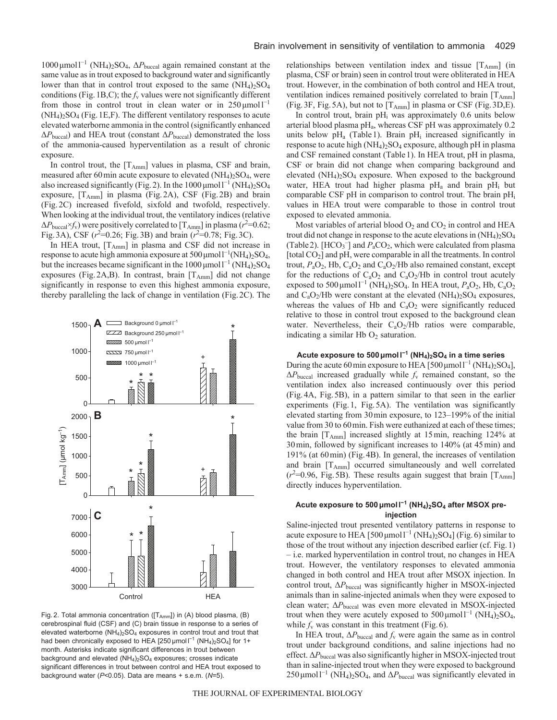1000 μmol<sup>1<sup>-1</sup></sup> (NH<sub>4</sub>)<sub>2</sub>SO<sub>4</sub>, ∆P<sub>buccal</sub> again remained constant at the same value as in trout exposed to background water and significantly lower than that in control trout exposed to the same  $(NH_4)_2SO_4$ conditions (Fig. 1B, C); the  $f_v$  values were not significantly different from those in control trout in clean water or in  $250 \mu m o 11^{-1}$  $(NH_4)_2SO_4$  (Fig. 1E, F). The different ventilatory responses to acute elevated waterborne ammonia in the control (significantly enhanced Δ*P*buccal) and HEA trout (constant Δ*P*buccal) demonstrated the loss of the ammonia-caused hyperventilation as a result of chronic exposure.

In control trout, the  $[T_{Amm}]$  values in plasma, CSF and brain, measured after 60 min acute exposure to elevated  $(NH_4)_2SO_4$ , were also increased significantly (Fig. 2). In the  $1000 \mu \text{mol}^{-1}$  (NH<sub>4</sub>)<sub>2</sub>SO<sub>4</sub> exposure, [TAmm] in plasma (Fig.2A), CSF (Fig.2B) and brain (Fig.2C) increased fivefold, sixfold and twofold, respectively. When looking at the individual trout, the ventilatory indices (relative  $\Delta P_{\text{buccal}} \times f_{\text{v}}$ ) were positively correlated to [T<sub>Amm</sub>] in plasma ( $r^2$ =0.62; Fig. 3A), CSF  $(r^2=0.26;$  Fig. 3B) and brain  $(r^2=0.78;$  Fig. 3C).

In HEA trout, [TAmm] in plasma and CSF did not increase in response to acute high ammonia exposure at  $500 \mu$ mol $1^{-1}$ (NH<sub>4</sub>)<sub>2</sub>SO<sub>4</sub>, but the increases became significant in the  $1000 \mu$ mol $1^{-1}$  (NH<sub>4</sub>)<sub>2</sub>SO<sub>4</sub> exposures (Fig. 2A, B). In contrast, brain  $[T_{Amm}]$  did not change significantly in response to even this highest ammonia exposure, thereby paralleling the lack of change in ventilation (Fig.2C). The



Fig. 2. Total ammonia concentration ([T<sub>Amm</sub>]) in (A) blood plasma, (B) cerebrospinal fluid (CSF) and (C) brain tissue in response to a series of elevated waterborne  $(NH_4)_2SO_4$  exposures in control trout and trout that had been chronically exposed to HEA [250  $\mu$ mol  $I^{-1}$  (NH<sub>4</sub>)<sub>2</sub>SO<sub>4</sub>] for 1+ month. Asterisks indicate significant differences in trout between background and elevated  $(NH_4)_2SO_4$  exposures; crosses indicate significant differences in trout between control and HEA trout exposed to background water (*P*<0.05). Data are means + s.e.m. (*N*=5).

relationships between ventilation index and tissue  $[T<sub>Amm</sub>]$  (in plasma, CSF or brain) seen in control trout were obliterated in HEA trout. However, in the combination of both control and HEA trout, ventilation indices remained positively correlated to brain [T<sub>Amm</sub>] (Fig. 3F, Fig. 5A), but not to  $[T_{Amm}]$  in plasma or CSF (Fig. 3D, E).

In control trout, brain  $pH_i$  was approximately 0.6 units below arterial blood plasma pH<sub>a</sub>, whereas CSF pH was approximately 0.2 units below  $pH_a$  (Table 1). Brain  $pH_i$  increased significantly in response to acute high  $(NH_4)_2SO_4$  exposure, although pH in plasma and CSF remained constant (Table1). In HEA trout, pH in plasma, CSF or brain did not change when comparing background and elevated  $(NH_4)_2SO_4$  exposure. When exposed to the background water, HEA trout had higher plasma  $pH_a$  and brain  $pH_i$  but comparable CSF pH in comparison to control trout. The brain pH<sub>i</sub> values in HEA trout were comparable to those in control trout exposed to elevated ammonia.

Most variables of arterial blood  $O_2$  and  $CO_2$  in control and HEA trout did not change in response to the acute elevations in  $(NH_4)_2SO_4$ (Table 2).  $[HCO_3^-]$  and  $P_aCO_2$ , which were calculated from plasma [total CO<sub>2</sub>] and pH, were comparable in all the treatments. In control trout,  $P_aO_2$ , Hb,  $C_aO_2$  and  $C_aO_2$ /Hb also remained constant, except for the reductions of  $C_aO_2$  and  $C_aO_2/Hb$  in control trout acutely exposed to 500  $\mu$ mol<sup>1-1</sup> (NH<sub>4</sub>)<sub>2</sub>SO<sub>4</sub>. In HEA trout,  $P_aO_2$ , Hb, C<sub>a</sub>O<sub>2</sub> and  $C_aO_2/Hb$  were constant at the elevated  $(NH_4)_2SO_4$  exposures, whereas the values of Hb and  $C_4O_2$  were significantly reduced relative to those in control trout exposed to the background clean water. Nevertheless, their  $C_aO_2/Hb$  ratios were comparable, indicating a similar Hb  $O<sub>2</sub>$  saturation.

**Acute exposure to 500μmoll <sup>−</sup><sup>1</sup> (NH4)2SO4 in a time series** During the acute 60 min exposure to HEA [500  $\mu$ mol<sup>1-1</sup> (NH<sub>4</sub>)<sub>2</sub>SO<sub>4</sub>], Δ*P*buccal increased gradually while *f*<sup>v</sup> remained constant, so the ventilation index also increased continuously over this period (Fig.4A, Fig.5B), in a pattern similar to that seen in the earlier experiments (Fig.1, Fig.5A). The ventilation was significantly elevated starting from 30min exposure, to 123–199% of the initial value from 30 to 60min. Fish were euthanized at each of these times; the brain  $[T_{Amm}]$  increased slightly at 15 min, reaching 124% at 30min, followed by significant increases to 140% (at 45min) and 191% (at 60min) (Fig.4B). In general, the increases of ventilation and brain [TAmm] occurred simultaneously and well correlated  $(r^2=0.96, \text{ Fig. 5B})$ . These results again suggest that brain [T<sub>Amm</sub>] directly induces hyperventilation.

# **Acute exposure to 500μmoll <sup>−</sup><sup>1</sup> (NH4)2SO4 after MSOX preinjection**

Saline-injected trout presented ventilatory patterns in response to acute exposure to HEA [500 µmol  $l^{-1}$  (NH<sub>4</sub>)<sub>2</sub>SO<sub>4</sub>] (Fig. 6) similar to those of the trout without any injection described earlier (cf. Fig.1) – i.e. marked hyperventilation in control trout, no changes in HEA trout. However, the ventilatory responses to elevated ammonia changed in both control and HEA trout after MSOX injection. In control trout,  $\Delta P_{\text{buccal}}$  was significantly higher in MSOX-injected animals than in saline-injected animals when they were exposed to clean water; Δ*P*buccal was even more elevated in MSOX-injected trout when they were acutely exposed to  $500 \,\mu\text{mol}^{-1}$  (NH<sub>4</sub>)<sub>2</sub>SO<sub>4</sub>, while  $f_v$  was constant in this treatment (Fig. 6).

In HEA trout,  $\Delta P_{\text{buccal}}$  and  $f_v$  were again the same as in control trout under background conditions, and saline injections had no effect. Δ*P*buccal was also significantly higher in MSOX-injected trout than in saline-injected trout when they were exposed to background  $250 \mu$ mol<sup>1-1</sup> (NH<sub>4</sub>)<sub>2</sub>SO<sub>4</sub>, and  $\Delta P_{\text{buccal}}$  was significantly elevated in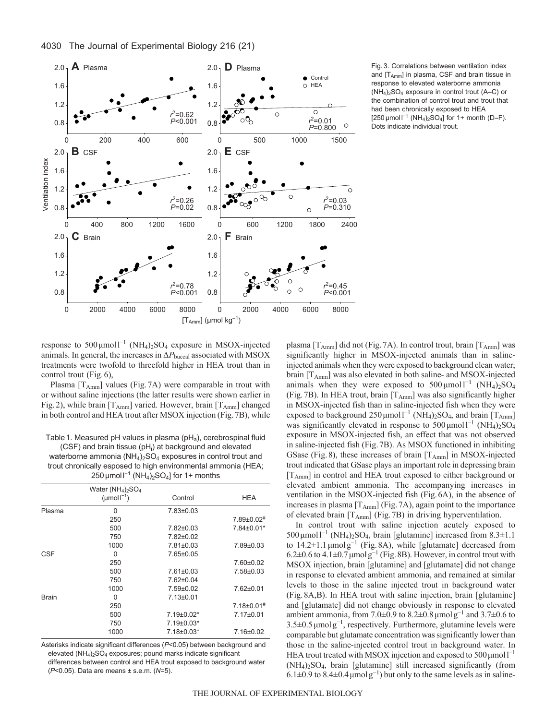

Fig. 3. Correlations between ventilation index and [T<sub>Amm</sub>] in plasma, CSF and brain tissue in response to elevated waterborne ammonia  $(NH_4)$ <sub>2</sub>SO<sub>4</sub> exposure in control trout  $(A-C)$  or the combination of control trout and trout that had been chronically exposed to HEA [250  $\mu$ mol  $I^{-1}$  (NH<sub>4</sub>)<sub>2</sub>SO<sub>4</sub>] for 1+ month (D–F). Dots indicate individual trout.

response to  $500 \mu \text{mol}^{-1}$  (NH<sub>4</sub>)<sub>2</sub>SO<sub>4</sub> exposure in MSOX-injected animals. In general, the increases in Δ*P*buccal associated with MSOX treatments were twofold to threefold higher in HEA trout than in control trout (Fig.6),

Plasma  $[T_{Amm}]$  values (Fig. 7A) were comparable in trout with or without saline injections (the latter results were shown earlier in Fig. 2), while brain  $[T_{Amm}]$  varied. However, brain  $[T_{Amm}]$  changed in both control and HEA trout after MSOX injection (Fig.7B), while

Table 1. Measured pH values in plasma (pH<sub>a</sub>), cerebrospinal fluid (CSF) and brain tissue (pH<sub>i</sub>) at background and elevated waterborne ammonia  $(NH_4)_2SO_4$  exposures in control trout and trout chronically esposed to high environmental ammonia (HEA;  $250 \mu$ mol l<sup>-1</sup> (NH<sub>4</sub>)<sub>2</sub>SO<sub>4</sub>] for 1+ months

|              | Water $(NH_4)_2SO_4$   |                   |                   |
|--------------|------------------------|-------------------|-------------------|
|              | ( $\mu$ mol $I^{-1}$ ) | Control           | <b>HEA</b>        |
| Plasma       | 0                      | $7.83 \pm 0.03$   |                   |
|              | 250                    |                   | $7.89 \pm 0.02$ # |
|              | 500                    | $7.82 \pm 0.03$   | 7.84±0.01*        |
|              | 750                    | $7.82 \pm 0.02$   |                   |
|              | 1000                   | $7.81 \pm 0.03$   | 7.89±0.03         |
| <b>CSF</b>   | 0                      | 7.65±0.05         |                   |
|              | 250                    |                   | 7.60±0.02         |
|              | 500                    | $7.61 \pm 0.03$   | $7.58 \pm 0.03$   |
|              | 750                    | $7.62 \pm 0.04$   |                   |
|              | 1000                   | $7.59 \pm 0.02$   | $7.62 \pm 0.01$   |
| <b>Brain</b> | 0                      | $7.13 \pm 0.01$   |                   |
|              | 250                    |                   | $7.18 \pm 0.01$ # |
|              | 500                    | $7.19 \pm 0.02*$  | $7.17 \pm 0.01$   |
|              | 750                    | $7.19{\pm}0.03^*$ |                   |
|              | 1000                   | 7.18±0.03*        | 7.16±0.02         |
|              |                        |                   |                   |

Asterisks indicate significant differences (*P*<0.05) between background and elevated  $(NH_4)_2SO_4$  exposures; pound marks indicate significant differences between control and HEA trout exposed to background water (*P*<0.05). Data are means ± s.e.m. (*N*=5).

plasma  $[T_{Amm}]$  did not (Fig. 7A). In control trout, brain  $[T_{Amm}]$  was significantly higher in MSOX-injected animals than in salineinjected animals when they were exposed to background clean water; brain  $[T_{Amm}]$  was also elevated in both saline- and MSOX-injected animals when they were exposed to  $500 \mu \text{mol}^{-1}$  (NH<sub>4</sub>)<sub>2</sub>SO<sub>4</sub> (Fig.7B). In HEA trout, brain [TAmm] was also significantly higher in MSOX-injected fish than in saline-injected fish when they were exposed to background  $250 \mu \text{mol}^{-1}$  (NH<sub>4</sub>)<sub>2</sub>SO<sub>4</sub>, and brain [T<sub>Amm</sub>] was significantly elevated in response to  $500 \mu \text{mol}^{-1}$  (NH<sub>4</sub>)<sub>2</sub>SO<sub>4</sub> exposure in MSOX-injected fish, an effect that was not observed in saline-injected fish (Fig.7B). As MSOX functioned in inhibiting GSase (Fig. 8), these increases of brain  $[T_{Amm}]$  in MSOX-injected trout indicated that GSase plays an important role in depressing brain [T<sub>Amm</sub>] in control and HEA trout exposed to either background or elevated ambient ammonia. The accompanying increases in ventilation in the MSOX-injected fish (Fig.6A), in the absence of increases in plasma  $[T_{Amm}]$  (Fig.7A), again point to the importance of elevated brain [TAmm] (Fig.7B) in driving hyperventilation.

In control trout with saline injection acutely exposed to 500 μmol<sup>1-1</sup> (NH<sub>4</sub>)<sub>2</sub>SO<sub>4</sub>, brain [glutamine] increased from 8.3±1.1 to  $14.2\pm1.1 \mu$ molg<sup>-1</sup> (Fig. 8A), while [glutamate] decreased from 6.2±0.6 to 4.1±0.7 $\mu$ molg<sup>-1</sup> (Fig. 8B). However, in control trout with MSOX injection, brain [glutamine] and [glutamate] did not change in response to elevated ambient ammonia, and remained at similar levels to those in the saline injected trout in background water (Fig.8A,B). In HEA trout with saline injection, brain [glutamine] and [glutamate] did not change obviously in response to elevated ambient ammonia, from 7.0±0.9 to 8.2±0.8 µmol  $g^{-1}$  and 3.7±0.6 to 3.5±0.5μmolg−<sup>1</sup> , respectively. Furthermore, glutamine levels were comparable but glutamate concentration was significantly lower than those in the saline-injected control trout in background water. In HEA trout treated with MSOX injection and exposed to  $500 \mu$ moll<sup>-1</sup> (NH4)2SO4, brain [glutamine] still increased significantly (from  $6.1\pm0.9$  to  $8.4\pm0.4$  µmolg<sup>-1</sup>) but only to the same levels as in saline-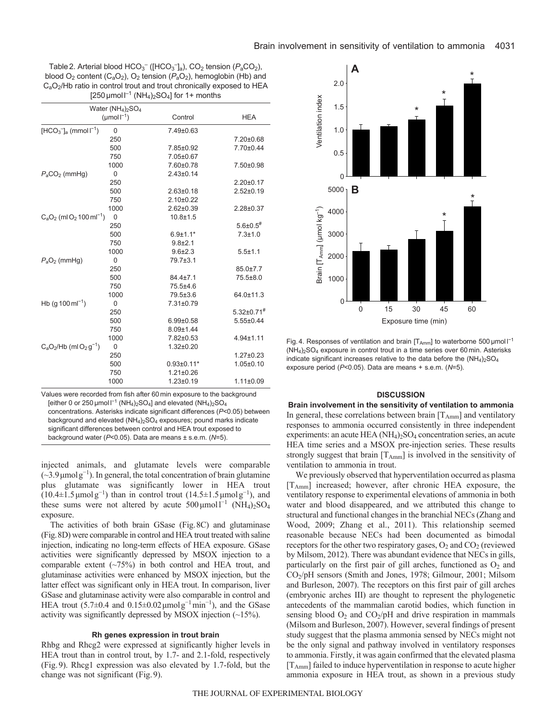Table 2. Arterial blood HCO<sub>3</sub><sup>-</sup> ([HCO<sub>3</sub><sup>-</sup>]<sub>a</sub>), CO<sub>2</sub> tension ( $P_aCO_2$ ), blood  $O_2$  content  $(C_aO_2)$ ,  $O_2$  tension  $(P_aO_2)$ , hemoglobin (Hb) and C<sub>a</sub>O<sub>2</sub>/Hb ratio in control trout and trout chronically exposed to HEA  $[250 \,\mu \text{mol}^{-1}$  (NH<sub>4</sub>)<sub>2</sub>SO<sub>4</sub>] for 1+ months

|                                                    | Water $(NH_4)_2SO_4$        |                  |                              |
|----------------------------------------------------|-----------------------------|------------------|------------------------------|
|                                                    | ( $\mu$ mol $\Gamma^{-1}$ ) | Control          | <b>HEA</b>                   |
| $[HCO3^-]_a$ (mmol $I^{-1}$ )                      | $\Omega$                    | 7.49±0.63        |                              |
|                                                    | 250                         |                  | 7.20±0.68                    |
|                                                    | 500                         | 7.85±0.92        | 7.70±0.44                    |
|                                                    | 750                         | 7.05±0.67        |                              |
|                                                    | 1000                        | 7.60±0.78        | 7.50±0.98                    |
| $P_aCO_2$ (mmHg)                                   | $\mathbf 0$                 | $2.43 \pm 0.14$  |                              |
|                                                    | 250                         |                  | $2.20 \pm 0.17$              |
|                                                    | 500                         | $2.63 \pm 0.18$  | $2.52 \pm 0.19$              |
|                                                    | 750                         | $2.10+0.22$      |                              |
|                                                    | 1000                        | $2.62 \pm 0.39$  | $2.28 \pm 0.37$              |
| $C_2O_2$ (ml O <sub>2</sub> 100 ml <sup>-1</sup> ) | $\mathbf 0$                 | $10.8 + 1.5$     |                              |
|                                                    | 250                         |                  | $5.6 \pm 0.5$ <sup>#</sup>   |
|                                                    | 500                         | $6.9 \pm 1.1*$   | $7.3 + 1.0$                  |
|                                                    | 750                         | $9.8 + 2.1$      |                              |
|                                                    | 1000                        | $9.6 \pm 2.3$    | $5.5 \pm 1.1$                |
| $P_aO_2$ (mmHg)                                    | $\mathbf 0$                 | 79.7±3.1         |                              |
|                                                    | 250                         |                  | $85.0 \pm 7.7$               |
|                                                    | 500                         | $84.4 \pm 7.1$   | 75.5±8.0                     |
|                                                    | 750                         | 75.5±4.6         |                              |
|                                                    | 1000                        | 79.5±3.6         | 64.0±11.3                    |
| Hb (g 100 ml <sup>-1</sup> )                       | $\mathbf 0$                 | 7.31±0.79        |                              |
|                                                    | 250                         |                  | $5.32 \pm 0.71$ <sup>#</sup> |
|                                                    | 500                         | $6.99 + 0.58$    | $5.55 \pm 0.44$              |
|                                                    | 750                         | $8.09 + 1.44$    |                              |
|                                                    | 1000                        | 7.82±0.53        | $4.94 \pm 1.11$              |
| $C_aO_2$ /Hb (ml $O_2$ g <sup>-1</sup> )           | $\Omega$                    | $1.32 + 0.20$    |                              |
|                                                    | 250                         |                  | $1.27 \pm 0.23$              |
|                                                    | 500                         | $0.93 \pm 0.11*$ | $1.05 \pm 0.10$              |
|                                                    | 750                         | $1.21 \pm 0.26$  |                              |
|                                                    | 1000                        | $1.23 \pm 0.19$  | $1.11 \pm 0.09$              |

Values were recorded from fish after 60 min exposure to the background [either 0 or 250  $\mu$ mol  $I^{-1}$  (NH<sub>4</sub>)<sub>2</sub>SO<sub>4</sub>] and elevated (NH<sub>4</sub>)<sub>2</sub>SO<sub>4</sub> concentrations. Asterisks indicate significant differences (*P*<0.05) between background and elevated  $(NH_4)_2SO_4$  exposures; pound marks indicate significant differences between control and HEA trout exposed to background water (*P*<0.05). Data are means ± s.e.m. (*N*=5).

injected animals, and glutamate levels were comparable (~3.9μmolg<sup>−</sup><sup>1</sup> ). In general, the total concentration of brain glutamine plus glutamate was significantly lower in HEA trout  $(10.4\pm1.5 \,\mu\text{mol}\,\text{g}^{-1})$  than in control trout  $(14.5\pm1.5 \,\mu\text{mol}\,\text{g}^{-1})$ , and these sums were not altered by acute  $500 \mu \text{mol}^{-1}$  (NH<sub>4</sub>)<sub>2</sub>SO<sub>4</sub> exposure.

The activities of both brain GSase (Fig.8C) and glutaminase (Fig.8D) were comparable in control and HEA trout treated with saline injection, indicating no long-term effects of HEA exposure. GSase activities were significantly depressed by MSOX injection to a comparable extent  $(\sim 75\%)$  in both control and HEA trout, and glutaminase activities were enhanced by MSOX injection, but the latter effect was significant only in HEA trout. In comparison, liver GSase and glutaminase activity were also comparable in control and HEA trout  $(5.7\pm0.4$  and  $0.15\pm0.02 \,\mu\text{mol g}^{-1}\text{min}^{-1}$ , and the GSase activity was significantly depressed by MSOX injection (~15%).

### **Rh genes expression in trout brain**

Rhbg and Rhcg2 were expressed at significantly higher levels in HEA trout than in control trout, by 1.7- and 2.1-fold, respectively (Fig.9). Rhcg1 expression was also elevated by 1.7-fold, but the change was not significant (Fig.9).



Fig. 4. Responses of ventilation and brain  $[T_{Amm}]$  to waterborne 500 µmol  $I^{-1}$ (NH4)2SO4 exposure in control trout in a time series over 60 min. Asterisks indicate significant increases relative to the data before the  $(NH<sub>4</sub>)<sub>2</sub>SO<sub>4</sub>$ exposure period (*P*<0.05). Data are means + s.e.m. (*N*=5).

# **DISCUSSION**

**Brain involvement in the sensitivity of ventilation to ammonia** In general, these correlations between brain  $[T_{Amm}]$  and ventilatory responses to ammonia occurred consistently in three independent experiments: an acute HEA (NH<sub>4</sub>)<sub>2</sub>SO<sub>4</sub> concentration series, an acute HEA time series and a MSOX pre-injection series. These results strongly suggest that brain  $[T_{Amm}]$  is involved in the sensitivity of ventilation to ammonia in trout.

We previously observed that hyperventilation occurred as plasma [TAmm] increased; however, after chronic HEA exposure, the ventilatory response to experimental elevations of ammonia in both water and blood disappeared, and we attributed this change to structural and functional changes in the branchial NECs (Zhang and Wood, 2009; Zhang et al., 2011). This relationship seemed reasonable because NECs had been documented as bimodal receptors for the other two respiratory gases,  $O_2$  and  $CO_2$  (reviewed by Milsom, 2012). There was abundant evidence that NECs in gills, particularly on the first pair of gill arches, functioned as  $O_2$  and CO2/pH sensors (Smith and Jones, 1978; Gilmour, 2001; Milsom and Burleson, 2007). The receptors on this first pair of gill arches (embryonic arches III) are thought to represent the phylogenetic antecedents of the mammalian carotid bodies, which function in sensing blood  $O_2$  and  $CO_2/pH$  and drive respiration in mammals (Milsom and Burleson, 2007). However, several findings of present study suggest that the plasma ammonia sensed by NECs might not be the only signal and pathway involved in ventilatory responses to ammonia. Firstly, it was again confirmed that the elevated plasma  $[T<sub>Amm</sub>]$  failed to induce hyperventilation in response to acute higher ammonia exposure in HEA trout, as shown in a previous study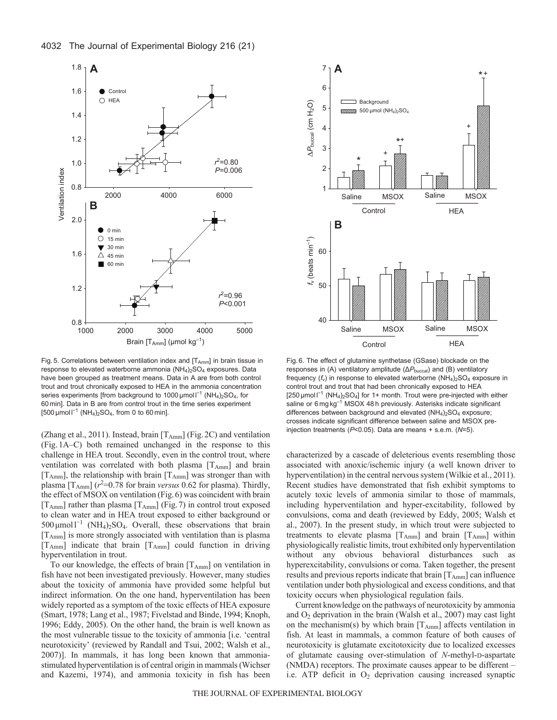

Fig. 5. Correlations between ventilation index and  $[T_{Amm}]$  in brain tissue in response to elevated waterborne ammonia  $(NH<sub>4</sub>)<sub>2</sub>SO<sub>4</sub>$  exposures. Data have been grouped as treatment means. Data in A are from both control trout and trout chronically exposed to HEA in the ammonia concentration series experiments [from background to 1000  $\mu$ mol l<sup>-1</sup> (NH<sub>4</sub>)<sub>2</sub>SO<sub>4</sub>, for 60 min]. Data in B are from control trout in the time series experiment [500 μmol  $I^{-1}$  (NH<sub>4</sub>)<sub>2</sub>SO<sub>4</sub>, from 0 to 60 min].

(Zhang et al., 2011). Instead, brain  $[T_{Amm}]$  (Fig. 2C) and ventilation (Fig.1A–C) both remained unchanged in the response to this challenge in HEA trout. Secondly, even in the control trout, where ventilation was correlated with both plasma  $[T_{Amm}]$  and brain  $[T<sub>Amm</sub>]$ , the relationship with brain  $[T<sub>Amm</sub>]$  was stronger than with plasma  $[T_{Amm}]$  ( $r^2$ =0.78 for brain *versus* 0.62 for plasma). Thirdly, the effect of MSOX on ventilation (Fig.6) was coincident with brain  $[T_{Amm}]$  rather than plasma  $[T_{Amm}]$  (Fig. 7) in control trout exposed to clean water and in HEA trout exposed to either background or  $500 \mu$ mol $1^{-1}$  (NH<sub>4</sub>)<sub>2</sub>SO<sub>4</sub>. Overall, these observations that brain [TAmm] is more strongly associated with ventilation than is plasma [T<sub>Amm</sub>] indicate that brain [T<sub>Amm</sub>] could function in driving hyperventilation in trout.

To our knowledge, the effects of brain  $[T_{Amm}]$  on ventilation in fish have not been investigated previously. However, many studies about the toxicity of ammonia have provided some helpful but indirect information. On the one hand, hyperventilation has been widely reported as a symptom of the toxic effects of HEA exposure (Smart, 1978; Lang et al., 1987; Fivelstad and Binde, 1994; Knoph, 1996; Eddy, 2005). On the other hand, the brain is well known as the most vulnerable tissue to the toxicity of ammonia [i.e. 'central neurotoxicity' (reviewed by Randall and Tsui, 2002; Walsh et al., 2007)]. In mammals, it has long been known that ammoniastimulated hyperventilation is of central origin in mammals (Wichser and Kazemi, 1974), and ammonia toxicity in fish has been



Fig. 6. The effect of glutamine synthetase (GSase) blockade on the responses in (A) ventilatory amplitude (ΔP<sub>buccal</sub>) and (B) ventilatory frequency  $(f_v)$  in response to elevated waterborne  $(NH_4)_2SO_4$  exposure in control trout and trout that had been chronically exposed to HEA [250  $\mu$ mol  $I^{-1}$  (NH<sub>4</sub>)<sub>2</sub>SO<sub>4</sub>] for 1+ month. Trout were pre-injected with either saline or 6 mg kg<sup>-1</sup> MSOX 48 h previously. Asterisks indicate significant differences between background and elevated (NH<sub>4</sub>)<sub>2</sub>SO<sub>4</sub> exposure; crosses indicate significant difference between saline and MSOX preinjection treatments (*P*<0.05). Data are means + s.e.m. (*N*=5).

characterized by a cascade of deleterious events resembling those associated with anoxic/ischemic injury (a well known driver to hyperventilation) in the central nervous system (Wilkie et al., 2011). Recent studies have demonstrated that fish exhibit symptoms to acutely toxic levels of ammonia similar to those of mammals, including hyperventilation and hyper-excitability, followed by convulsions, coma and death (reviewed by Eddy, 2005; Walsh et al., 2007). In the present study, in which trout were subjected to treatments to elevate plasma  $[T_{Amm}]$  and brain  $[T_{Amm}]$  within physiologically realistic limits, trout exhibited only hyperventilation without any obvious behavioral disturbances such as hyperexcitability, convulsions or coma. Taken together, the present results and previous reports indicate that brain  $[T_{Amm}]$  can influence ventilation under both physiological and excess conditions, and that toxicity occurs when physiological regulation fails.

Current knowledge on the pathways of neurotoxicity by ammonia and  $O_2$  deprivation in the brain (Walsh et al., 2007) may cast light on the mechanism(s) by which brain  $[T_{Amm}]$  affects ventilation in fish. At least in mammals, a common feature of both causes of neurotoxicity is glutamate excitotoxicity due to localized excesses of glutamate causing over-stimulation of *N*-methyl-D-aspartate (NMDA) receptors. The proximate causes appear to be different – i.e. ATP deficit in  $O_2$  deprivation causing increased synaptic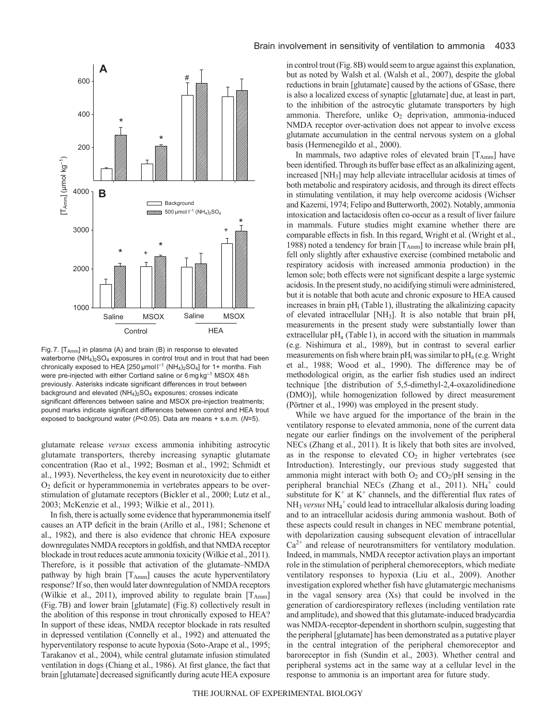

Fig. 7.  $[T_{Amm}]$  in plasma (A) and brain (B) in response to elevated waterborne  $(NH_4)_2SO_4$  exposures in control trout and in trout that had been chronically exposed to HEA [250  $\mu$ mol  $I^{-1}$  (NH<sub>4</sub>)<sub>2</sub>SO<sub>4</sub>] for 1+ months. Fish were pre-injected with either Cortland saline or 6 mg kg<sup>-1</sup> MSOX 48 h previously. Asterisks indicate significant differences in trout between background and elevated  $(NH<sub>4</sub>)<sub>2</sub>SO<sub>4</sub>$  exposures; crosses indicate significant differences between saline and MSOX pre-injection treatments; pound marks indicate significant differences between control and HEA trout exposed to background water (*P*<0.05). Data are means + s.e.m. (*N*=5).

glutamate release *versus* excess ammonia inhibiting astrocytic glutamate transporters, thereby increasing synaptic glutamate concentration (Rao et al., 1992; Bosman et al., 1992; Schmidt et al., 1993). Nevertheless, the key event in neurotoxicity due to either  $O<sub>2</sub>$  deficit or hyperammonemia in vertebrates appears to be overstimulation of glutamate receptors (Bickler et al., 2000; Lutz et al., 2003; McKenzie et al., 1993; Wilkie et al., 2011).

In fish, there is actually some evidence that hyperammonemia itself causes an ATP deficit in the brain (Arillo et al., 1981; Schenone et al., 1982), and there is also evidence that chronic HEA exposure downregulates NMDA receptors in goldfish, and that NMDA receptor blockade in trout reduces acute ammonia toxicity (Wilkie et al., 2011). Therefore, is it possible that activation of the glutamate–NMDA pathway by high brain  $[T_{Amm}]$  causes the acute hyperventilatory response? If so, then would later downregulation of NMDA receptors (Wilkie et al., 2011), improved ability to regulate brain  $[T_{Amm}]$ (Fig.7B) and lower brain [glutamate] (Fig.8) collectively result in the abolition of this response in trout chronically exposed to HEA? In support of these ideas, NMDA receptor blockade in rats resulted in depressed ventilation (Connelly et al., 1992) and attenuated the hyperventilatory response to acute hypoxia (Soto-Arape et al., 1995; Tarakanov et al., 2004), while central glutamate infusion stimulated ventilation in dogs (Chiang et al., 1986). At first glance, the fact that brain [glutamate] decreased significantly during acute HEA exposure

### Brain involvement in sensitivity of ventilation to ammonia 4033

in control trout (Fig.8B) would seem to argue against this explanation, but as noted by Walsh et al. (Walsh et al., 2007), despite the global reductions in brain [glutamate] caused by the actions of GSase, there is also a localized excess of synaptic [glutamate] due, at least in part, to the inhibition of the astrocytic glutamate transporters by high ammonia. Therefore, unlike  $O<sub>2</sub>$  deprivation, ammonia-induced NMDA receptor over-activation does not appear to involve excess glutamate accumulation in the central nervous system on a global basis (Hermenegildo et al., 2000).

In mammals, two adaptive roles of elevated brain  $[T<sub>Amm</sub>]$  have been identified. Through its buffer base effect as an alkalinizing agent, increased [NH3] may help alleviate intracellular acidosis at times of both metabolic and respiratory acidosis, and through its direct effects in stimulating ventilation, it may help overcome acidosis (Wichser and Kazemi, 1974; Felipo and Butterworth, 2002). Notably, ammonia intoxication and lactacidosis often co-occur as a result of liver failure in mammals. Future studies might examine whether there are comparable effects in fish. In this regard, Wright et al. (Wright et al., 1988) noted a tendency for brain  $[T_{Amm}]$  to increase while brain pH<sub>i</sub> fell only slightly after exhaustive exercise (combined metabolic and respiratory acidosis with increased ammonia production) in the lemon sole; both effects were not significant despite a large systemic acidosis. In the present study, no acidifying stimuli were administered, but it is notable that both acute and chronic exposure to HEA caused increases in brain  $pH_i$  (Table 1), illustrating the alkalinizing capacity of elevated intracellular [NH<sub>3</sub>]. It is also notable that brain  $pH_i$ measurements in the present study were substantially lower than extracellular  $pH_a$  (Table 1), in accord with the situation in mammals (e.g. Nishimura et al., 1989), but in contrast to several earlier measurements on fish where brain  $pH_i$  was similar to  $pH_a$  (e.g. Wright et al., 1988; Wood et al., 1990). The difference may be of methodological origin, as the earlier fish studies used an indirect technique [the distribution of 5,5-dimethyl-2,4-oxazolidinedione (DMO)], while homogenization followed by direct measurement (Pörtner et al., 1990) was employed in the present study.

While we have argued for the importance of the brain in the ventilatory response to elevated ammonia, none of the current data negate our earlier findings on the involvement of the peripheral NECs (Zhang et al., 2011). It is likely that both sites are involved, as in the response to elevated  $CO<sub>2</sub>$  in higher vertebrates (see Introduction). Interestingly, our previous study suggested that ammonia might interact with both  $O_2$  and  $CO_2/pH$  sensing in the peripheral branchial NECs (Zhang et al., 2011).  $NH_4^+$  could substitute for  $K^+$  at  $K^+$  channels, and the differential flux rates of NH3 *versus* NH4 <sup>+</sup> could lead to intracellular alkalosis during loading and to an intracellular acidosis during ammonia washout. Both of these aspects could result in changes in NEC membrane potential, with depolarization causing subsequent elevation of intracellular  $Ca<sup>2+</sup>$  and release of neurotransmitters for ventilatory modulation. Indeed, in mammals, NMDA receptor activation plays an important role in the stimulation of peripheral chemoreceptors, which mediate ventilatory responses to hypoxia (Liu et al., 2009). Another investigation explored whether fish have glutamatergic mechanisms in the vagal sensory area (Xs) that could be involved in the generation of cardiorespiratory reflexes (including ventilation rate and amplitude), and showed that this glutamate-induced bradycardia was NMDA-receptor-dependent in shorthorn sculpin, suggesting that the peripheral [glutamate] has been demonstrated as a putative player in the central integration of the peripheral chemoreceptor and baroreceptor in fish (Sundin et al., 2003). Whether central and peripheral systems act in the same way at a cellular level in the response to ammonia is an important area for future study.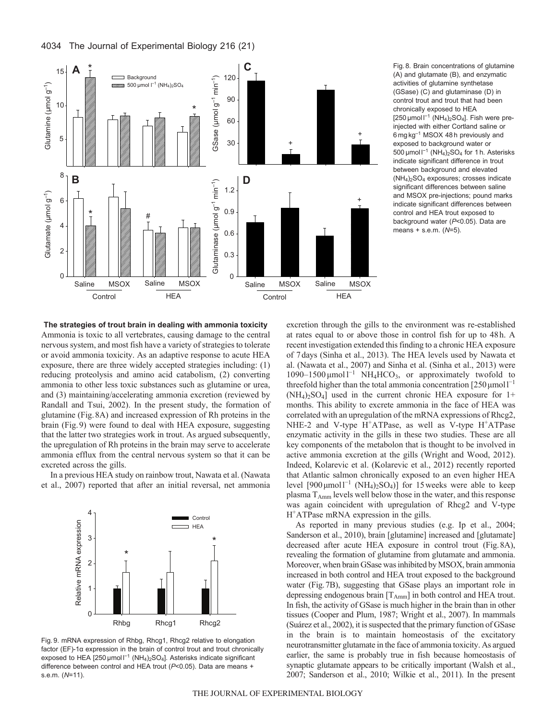



Fig. 8. Brain concentrations of glutamine (A) and glutamate (B), and enzymatic activities of glutamine synthetase (GSase) (C) and glutaminase (D) in control trout and trout that had been chronically exposed to HEA  $[250 \mu$ mol  $I^{-1}$  (NH<sub>4</sub>)<sub>2</sub>SO<sub>4</sub>]. Fish were preinjected with either Cortland saline or 6 mg kg–1 MSOX 48 h previously and exposed to background water or 500  $\mu$ mol l<sup>-1</sup> (NH<sub>4</sub>)<sub>2</sub>SO<sub>4</sub> for 1 h. Asterisks indicate significant difference in trout between background and elevated (NH4)2SO4 exposures; crosses indicate significant differences between saline and MSOX pre-injections; pound marks indicate significant differences between control and HEA trout exposed to background water (*P*<0.05). Data are means + s.e.m. (*N*=5).

**The strategies of trout brain in dealing with ammonia toxicity** Ammonia is toxic to all vertebrates, causing damage to the central nervous system, and most fish have a variety of strategies to tolerate or avoid ammonia toxicity. As an adaptive response to acute HEA exposure, there are three widely accepted strategies including: (1) reducing proteolysis and amino acid catabolism, (2) converting ammonia to other less toxic substances such as glutamine or urea, and (3) maintaining/accelerating ammonia excretion (reviewed by Randall and Tsui, 2002). In the present study, the formation of glutamine (Fig.8A) and increased expression of Rh proteins in the brain (Fig.9) were found to deal with HEA exposure, suggesting that the latter two strategies work in trout. As argued subsequently, the upregulation of Rh proteins in the brain may serve to accelerate ammonia efflux from the central nervous system so that it can be excreted across the gills.

In a previous HEA study on rainbow trout, Nawata et al. (Nawata et al., 2007) reported that after an initial reversal, net ammonia



Fig. 9. mRNA expression of Rhbg, Rhcg1, Rhcg2 relative to elongation factor (EF)-1α expression in the brain of control trout and trout chronically exposed to HEA [250 µmol  $I^{-1}$  (NH<sub>4</sub>)<sub>2</sub>SO<sub>4</sub>]. Asterisks indicate significant difference between control and HEA trout (*P*<0.05). Data are means + s.e.m. (*N*=11).

excretion through the gills to the environment was re-established at rates equal to or above those in control fish for up to 48h. A recent investigation extended this finding to a chronic HEA exposure of 7days (Sinha et al., 2013). The HEA levels used by Nawata et al. (Nawata et al., 2007) and Sinha et al. (Sinha et al., 2013) were 1090–1500 μmol  $l^{-1}$  NH<sub>4</sub>HCO<sub>3</sub>, or approximately twofold to threefold higher than the total ammonia concentration  $[250 \mu mol]^{-1}$  $(NH_4)_2SO_4$ ] used in the current chronic HEA exposure for 1+ months. This ability to excrete ammonia in the face of HEA was correlated with an upregulation of the mRNA expressions of Rhcg2, NHE-2 and V-type  $H^+ATP$ ase, as well as V-type  $H^+ATP$ ase enzymatic activity in the gills in these two studies. These are all key components of the metabolon that is thought to be involved in active ammonia excretion at the gills (Wright and Wood, 2012). Indeed, Kolarevic et al. (Kolarevic et al., 2012) recently reported that Atlantic salmon chronically exposed to an even higher HEA level  $[900 \mu mol]^{-1}$  (NH<sub>4</sub>)<sub>2</sub>SO<sub>4</sub>)] for 15 weeks were able to keep plasma T<sub>Amm</sub> levels well below those in the water, and this response was again coincident with upregulation of Rhcg2 and V-type H+ATPase mRNA expression in the gills.

As reported in many previous studies (e.g. Ip et al., 2004; Sanderson et al., 2010), brain [glutamine] increased and [glutamate] decreased after acute HEA exposure in control trout (Fig.8A), revealing the formation of glutamine from glutamate and ammonia. Moreover, when brain GSase was inhibited by MSOX, brain ammonia increased in both control and HEA trout exposed to the background water (Fig.7B), suggesting that GSase plays an important role in depressing endogenous brain  $[T_{Amm}]$  in both control and HEA trout. In fish, the activity of GSase is much higher in the brain than in other tissues (Cooper and Plum, 1987; Wright et al., 2007). In mammals (Suárez et al., 2002), it is suspected that the primary function of GSase in the brain is to maintain homeostasis of the excitatory neurotransmitter glutamate in the face of ammonia toxicity. As argued earlier, the same is probably true in fish because homeostasis of synaptic glutamate appears to be critically important (Walsh et al., 2007; Sanderson et al., 2010; Wilkie et al., 2011). In the present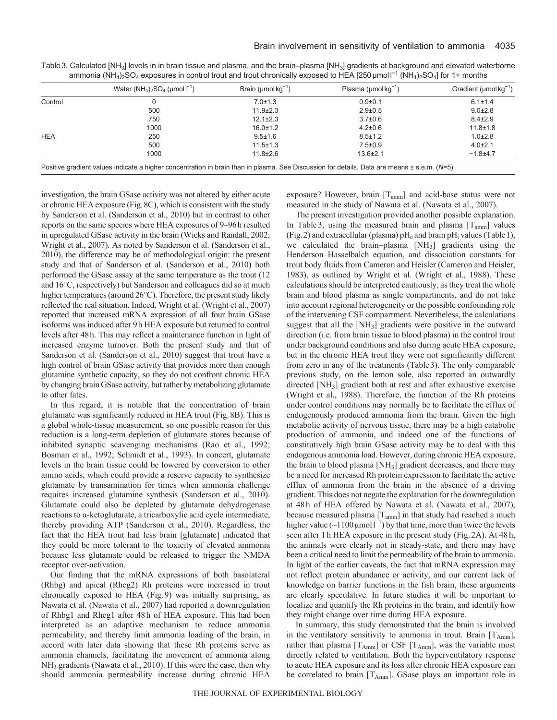|            | Water $(NH_4)$ <sub>2</sub> SO <sub>4</sub> (µmol $I^{-1}$ )                                                                                 | Brain ( $\mu$ mol $\text{kg}^{-1}$ ) | Plasma ( $\mu$ mol kg <sup>-1</sup> ) | Gradient ( $\mu$ mol kg <sup>-1</sup> ) |
|------------|----------------------------------------------------------------------------------------------------------------------------------------------|--------------------------------------|---------------------------------------|-----------------------------------------|
| Control    |                                                                                                                                              | $7.0 \pm 1.3$                        | $0.9 + 0.1$                           | $6.1 \pm 1.4$                           |
|            | 500                                                                                                                                          | $11.9 \pm 2.3$                       | $2.9 \pm 0.5$                         | $9.0 \pm 2.8$                           |
|            | 750                                                                                                                                          | $12.1 \pm 2.3$                       | $3.7 \pm 0.6$                         | $8.4 \pm 2.9$                           |
|            | 1000                                                                                                                                         | $16.0 \pm 1.2$                       | $4.2 \pm 0.6$                         | $11.8 \pm 1.8$                          |
| <b>HEA</b> | 250                                                                                                                                          | $9.5 \pm 1.6$                        | $8.5 \pm 1.2$                         | $1.0 \pm 2.8$                           |
|            | 500                                                                                                                                          | $11.5 \pm 1.3$                       | $7.5 \pm 0.9$                         | $4.0 \pm 2.1$                           |
|            | 1000                                                                                                                                         | $11.8 + 2.6$                         | $13.6 + 2.1$                          | $-1.8 + 4.7$                            |
|            | Positive gradient values indicate a higher concentration in brain than in plasma. See Discussion for details. Data are means ± s.e.m. (N=5). |                                      |                                       |                                         |

Table 3. Calculated [NH<sub>3</sub>] levels in in brain tissue and plasma, and the brain–plasma [NH<sub>3</sub>] gradients at background and elevated waterborne ammonia (NH<sub>4</sub>)<sub>2</sub>SO<sub>4</sub> exposures in control trout and trout chronically exposed to HEA [250 µmol l<sup>-1</sup> (NH<sub>4</sub>)<sub>2</sub>SO<sub>4</sub>] for 1+ months

investigation, the brain GSase activity was not altered by either acute or chronic HEA exposure (Fig.8C), which is consistent with the study by Sanderson et al. (Sanderson et al., 2010) but in contrast to other reports on the same species where HEA exposures of 9–96h resulted in upregulated GSase activity in the brain (Wicks and Randall, 2002; Wright et al., 2007). As noted by Sanderson et al. (Sanderson et al., 2010), the difference may be of methodological origin: the present study and that of Sanderson et al. (Sanderson et al., 2010) both performed the GSase assay at the same temperature as the trout (12 and 16°C, respectively) but Sanderson and colleagues did so at much higher temperatures (around 26°C). Therefore, the present study likely reflected the real situation. Indeed, Wright et al. (Wright et al., 2007) reported that increased mRNA expression of all four brain GSase isoforms was induced after 9h HEA exposure but returned to control levels after 48h. This may reflect a maintenance function in light of increased enzyme turnover. Both the present study and that of Sanderson et al. (Sanderson et al., 2010) suggest that trout have a high control of brain GSase activity that provides more than enough glutamine synthetic capacity, so they do not confront chronic HEA by changing brain GSase activity, but rather by metabolizing glutamate to other fates.

In this regard, it is notable that the concentration of brain glutamate was significantly reduced in HEA trout (Fig.8B). This is a global whole-tissue measurement, so one possible reason for this reduction is a long-term depletion of glutamate stores because of inhibited synaptic scavenging mechanisms (Rao et al., 1992; Bosman et al., 1992; Schmidt et al., 1993). In concert, glutamate levels in the brain tissue could be lowered by conversion to other amino acids, which could provide a reserve capacity to synthesize glutamate by transamination for times when ammonia challenge requires increased glutamine synthesis (Sanderson et al., 2010). Glutamate could also be depleted by glutamate dehydrogenase reactions to α-ketoglutarate, a tricarboxylic acid cycle intermediate, thereby providing ATP (Sanderson et al., 2010). Regardless, the fact that the HEA trout had less brain [glutamate] indicated that they could be more tolerant to the toxicity of elevated ammonia because less glutamate could be released to trigger the NMDA receptor over-activation.

Our finding that the mRNA expressions of both basolateral (Rhbg) and apical (Rhcg2) Rh proteins were increased in trout chronically exposed to HEA (Fig.9) was initially surprising, as Nawata et al. (Nawata et al., 2007) had reported a downregulation of Rhbg1 and Rhcg1 after 48h of HEA exposure. This had been interpreted as an adaptive mechanism to reduce ammonia permeability, and thereby limit ammonia loading of the brain, in accord with later data showing that these Rh proteins serve as ammonia channels, facilitating the movement of ammonia along NH3 gradients (Nawata et al., 2010). If this were the case, then why should ammonia permeability increase during chronic HEA exposure? However, brain [T<sub>amm</sub>] and acid-base status were not measured in the study of Nawata et al. (Nawata et al., 2007).

The present investigation provided another possible explanation. In Table 3, using the measured brain and plasma  $[T_{\text{amm}}]$  values (Fig. 2) and extracellular (plasma)  $pH_a$  and brain  $pH_i$  values (Table 1), we calculated the brain–plasma [NH3] gradients using the Henderson–Hasselbalch equation, and dissociation constants for trout body fluids from Cameron and Heisler (Cameron and Heisler, 1983), as outlined by Wright et al. (Wright et al., 1988). These calculations should be interpreted cautiously, as they treat the whole brain and blood plasma as single compartments, and do not take into account regional heterogeneity or the possible confounding role of the intervening CSF compartment. Nevertheless, the calculations suggest that all the [NH3] gradients were positive in the outward direction (i.e. from brain tissue to blood plasma) in the control trout under background conditions and also during acute HEA exposure, but in the chronic HEA trout they were not significantly different from zero in any of the treatments (Table3). The only comparable previous study, on the lemon sole, also reported an outwardly directed [NH3] gradient both at rest and after exhaustive exercise (Wright et al., 1988). Therefore, the function of the Rh proteins under control conditions may normally be to facilitate the efflux of endogenously produced ammonia from the brain. Given the high metabolic activity of nervous tissue, there may be a high catabolic production of ammonia, and indeed one of the functions of constitutively high brain GSase activity may be to deal with this endogenous ammonia load. However, during chronic HEA exposure, the brain to blood plasma [NH3] gradient decreases, and there may be a need for increased Rh protein expression to facilitate the active efflux of ammonia from the brain in the absence of a driving gradient. This does not negate the explanation for the downregulation at 48h of HEA offered by Nawata et al. (Nawata et al., 2007), because measured plasma [T<sub>amm</sub>] in that study had reached a much higher value  $(\sim 1100 \,\text{\mu} \text{mol}^{-1})$  by that time, more than twice the levels seen after 1h HEA exposure in the present study (Fig.2A). At 48h, the animals were clearly not in steady-state, and there may have been a critical need to limit the permeability of the brain to ammonia. In light of the earlier caveats, the fact that mRNA expression may not reflect protein abundance or activity, and our current lack of knowledge on barrier functions in the fish brain, these arguments are clearly speculative. In future studies it will be important to localize and quantify the Rh proteins in the brain, and identify how they might change over time during HEA exposure.

In summary, this study demonstrated that the brain is involved in the ventilatory sensitivity to ammonia in trout. Brain [TAmm], rather than plasma  $[T_{Amm}]$  or CSF  $[T_{Amm}]$ , was the variable most directly related to ventilation. Both the hyperventilatory response to acute HEA exposure and its loss after chronic HEA exposure can be correlated to brain [T<sub>Amm</sub>]. GSase plays an important role in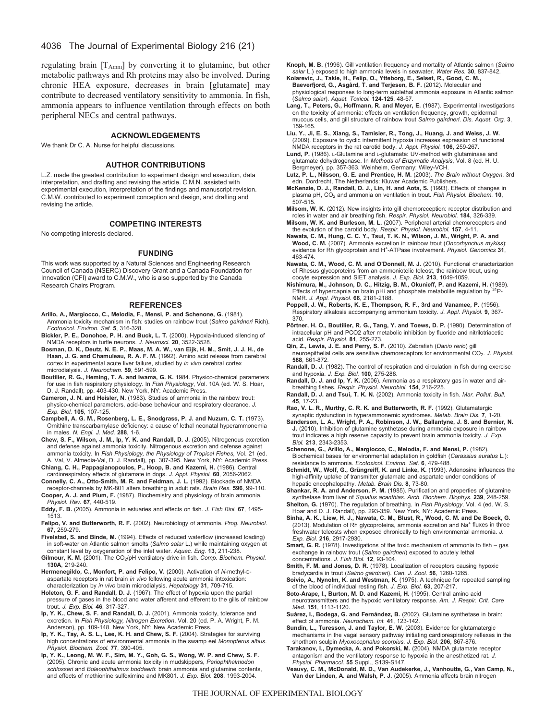# 4036 The Journal of Experimental Biology 216 (21)

regulating brain [TAmm] by converting it to glutamine, but other metabolic pathways and Rh proteins may also be involved. During chronic HEA exposure, decreases in brain [glutamate] may contribute to decreased ventilatory sensitivity to ammonia. In fish, ammonia appears to influence ventilation through effects on both peripheral NECs and central pathways.

#### **ACKNOWLEDGEMENTS**

We thank Dr C. A. Nurse for helpful discussions.

#### **AUTHOR CONTRIBUTIONS**

L.Z. made the greatest contribution to experiment design and execution, data interpretation, and drafting and revising the article. C.M.N. assisted with experimental execution, interpretation of the findings and manuscript revision. C.M.W. contributed to experiment conception and design, and drafting and revising the article.

#### **COMPETING INTERESTS**

No competing interests declared.

#### **FUNDING**

This work was supported by a Natural Sciences and Engineering Research Council of Canada (NSERC) Discovery Grant and a Canada Foundation for Innovation (CFI) award to C.M.W., who is also supported by the Canada Research Chairs Program.

#### **REFERENCES**

- **Arillo, A., Margiocco, C., Melodia, F., Mensi, P. and Schenone, G.** (1981). Ammonia toxicity mechanism in fish: studies on rainbow trout (*Salmo gairdneri* Rich). *Ecotoxicol. Environ. Saf.* **5**, 316-328.
- **Bickler, P. E., Donohoe, P. H. and Buck, L. T.** (2000). Hypoxia-induced silencing of NMDA receptors in turtle neurons. *J. Neurosci.* **20**, 3522-3528.
- **Bosman, D. K., Deutz, N. E. P., Maas, M. A. W., van Eijk, H. M., Smit, J. J. H., de Haan, J. G. and Chamuleau, R. A. F. M.** (1992). Amino acid release from cerebral cortex in experimental acute liver failure, studied by *in vivo* cerebral cortex microdialysis. *J. Neurochem.* **59**, 591-599.
- **Boutilier, R. G., Heming, T. A. and Iwama, G. K.** 1984. Physico-chemical parameters for use in fish respiratory physiology. In *Fish Physiology*, Vol. 10A (ed. W. S. Hoar, D. J. Randall), pp. 403-430. New York, NY: Academic Press.
- **Cameron, J. N. and Heisler, N.** (1983). Studies of ammonia in the rainbow trout: physico-chemical parameters, acid-base behaviour and respiratory clearance. *J. Exp. Biol.* **105**, 107-125.
- **Campbell, A. G. M., Rosenberg, L. E., Snodgrass, P. J. and Nuzum, C. T.** (1973). Ornithine transcarbamylase deficiency: a cause of lethal neonatal hyperammonemia in males. *N. Engl. J. Med.* **288**, 1-6. **Chew, S. F., Wilson, J. M., Ip, Y. K. and Randall, D. J.** (2005). Nitrogenous excretion
- and defense against ammonia toxicity. Nitrogenous excretion and defense against ammonia toxicity. In *Fish Physiology, the Physiology of Tropical Fishes*, Vol. 21 (ed. A. Val, V. Almedia-Val, D. J. Randall), pp. 307-395. New York, NY: Academic Press.

**Chiang, C. H., Pappagianopoulos, P., Hoop, B. and Kazemi, H.** (1986). Central cardiorespiratory effects of glutamate in dogs. *J. Appl. Physiol.* **60**, 2056-2062.

- **Connelly, C. A., Otto-Smith, M. R. and Feldman, J. L.** (1992). Blockade of NMDA receptor-channels by MK-801 alters breathing in adult rats. *Brain Res.* **596**, 99-110. **Cooper, A. J. and Plum, F.** (1987). Biochemistry and physiology of brain ammonia.
- *Physiol. Rev.* **67**, 440-519. **Eddy, F. B.** (2005). Ammonia in estuaries and effects on fish. *J. Fish Biol.* **67**, 1495-
- 1513. **Felipo, V. and Butterworth, R. F.** (2002). Neurobiology of ammonia. *Prog. Neurobiol.* **67**, 259-279.
- **Fivelstad, S. and Binde, M.** (1994). Effects of reduced waterflow (increased loading) in soft-water on Atlantic salmon smolts (*Salmo salar* L.) while maintaining oxygen at constant level by oxygenation of the inlet water. *Aquac. Eng.* **13**, 211-238.
- Gilmour, K. M. (2001). The CO<sub>2</sub>/pH ventilatory drive in fish. *Comp. Biochem. Physiol.* **130A**, 219-240.
- **Hermenegildo, C., Monfort, P. and Felipo, V.** (2000). Activation of *N*-methyl-Daspartate receptors in rat brain *in vivo* following acute ammonia intoxication: characterization by *in vivo* brain microdialysis. *Hepatology* **31**, 709-715.
- **Holeton, G. F. and Randall, D. J.** (1967). The effect of hypoxia upon the partial pressure of gases in the blood and water afferent and efferent to the gills of rainbow trout. *J. Exp. Biol.* **46**, 317-327.
- **Ip, Y. K., Chew, S. F. and Randall, D. J.** (2001). Ammonia toxicity, tolerance and excretion. In *Fish Physiology, Nitrogen Excretion*, Vol. 20 (ed. P. A. Wright, P. M.<br>Anderson), pp. 109-148. New York, NY: New Academic Press.
- **Ip, Y. K., Tay, A. S. L., Lee, K. H. and Chew, S. F.** (2004). Strategies for surviving high concentrations of environmental ammonia in the swamp eel *Monopterus albus*. *Physiol. Biochem. Zool.* **77**, 390-405.
- **Ip, Y. K., Leong, M. W. F., Sim, M. Y., Goh, G. S., Wong, W. P. and Chew, S. F.** (2005). Chronic and acute ammonia toxicity in mudskippers, *Periophthalmodon schlosseri* and *Boleophthalmus boddaerti*: brain ammonia and glutamine contents, and effects of methionine sulfoximine and MK801. *J. Exp. Biol.* **208**, 1993-2004.
- **Knoph, M. B.** (1996). Gill ventilation frequency and mortality of Atlantic salmon (*Salmo salar* L.) exposed to high ammonia levels in seawater. *Water Res.* **30**, 837-842.
- **Kolarevic, J., Takle, H., Felip, O., Ytteborg, E., Selset, R., Good, C. M., Baeverfjord, G., Asgård, T. and Terjesen, B. F.** (2012). Molecular and physiological responses to long-term sublethal ammonia exposure in Atlantic salmon (*Salmo salar*). *Aquat. Toxicol.* **124-125**, 48-57.
- **Lang, T., Peters, G., Hoffmann, R. and Meyer, E.** (1987). Experimental investigations on the toxicity of ammonia: effects on ventilation frequency, growth, epidermal mucous cells, and gill structure of rainbow trout *Salmo gairdneri*. *Dis. Aquat. Org.* **3**, 159-165.
- **Liu, Y., Ji, E. S., Xiang, S., Tamisier, R., Tong, J., Huang, J. and Weiss, J. W.** (2009). Exposure to cyclic intermittent hypoxia increases expression of functional NMDA receptors in the rat carotid body. *J. Appl. Physiol.* **106**, 259-267.
- Lund, P. (1986). L-Glutamine and L-glutamate: UV-method with glutaminase and glutamate dehydrogenase. In *Methods of Enzymatic Analysis*, Vol. 8 (ed. H. U. Bergmeyer), pp. 357-363. Weinheim, Germany: Wiley-VCH.
- **Lutz, P. L., Nilsson, G. E. and Prentice, H. M.** (2003). *The Brain without Oxygen*, 3rd edn. Dordrecht, The Netherlands: Kluwer Academic Publishers.
- **McKenzie, D. J., Randall, D. J., Lin, H. and Aota, S.** (1993). Effects of changes in plasma pH, CO2 and ammonia on ventilation in trout. *Fish Physiol. Biochem.* **10**, 507-515.
- **Milsom, W. K.** (2012). New insights into gill chemoreception: receptor distribution and roles in water and air breathing fish. *Respir. Physiol. Neurobiol.* **184**, 326-339.
- **Milsom, W. K. and Burleson, M. L.** (2007). Peripheral arterial chemoreceptors and the evolution of the carotid body. *Respir. Physiol. Neurobiol.* **157**, 4-11.
- **Nawata, C. M., Hung, C. C. Y., Tsui, T. K. N., Wilson, J. M., Wright, P. A. and Wood, C. M.** (2007). Ammonia excretion in rainbow trout (*Oncorhynchus mykiss*): evidence for Rh glycoprotein and H+-ATPase involvement. *Physiol. Genomics* **31**, 463-474.
- **Nawata, C. M., Wood, C. M. and O'Donnell, M. J.** (2010). Functional characterization of Rhesus glycoproteins from an ammoniotelic teleost, the rainbow trout, using oocyte expression and SIET analysis. *J. Exp. Biol.* **213**, 1049-1059.
- **Nishimura, M., Johnson, D. C., Hitzig, B. M., Okunieff, P. and Kazemi, H.** (1989). Effects of hypercapnia on brain pHi and phosphate metabolite regulation by <sup>31</sup>P-NMR. *J. Appl. Physiol.* **66**, 2181-2188.
- **Poppell, J. W., Roberts, K. E., Thompson, R. F., 3rd and Vanamee, P.** (1956). Respiratory alkalosis accompanying ammonium toxicity. *J. Appl. Physiol.* **9**, 367- 370.
- **Pörtner, H. O., Boutilier, R. G., Tang, Y. and Toews, D. P.** (1990). Determination of intracellular pH and PCO2 after metabolic inhibition by fluoride and nitrilotriacetic acid. *Respir. Physiol.* **81**, 255-273.
- Qin, Z., Lewis, J. E. and Perry, S. F. (2010). Zebrafish (*Danio rerio*) gill neuroepithelial cells are sensitive chemoreceptors for environmental CO<sub>2</sub>. *J. Physiol.* **588**, 861-872.
- **Randall, D. J.** (1982). The control of respiration and circulation in fish during exercise and hypoxia. *J. Exp. Biol.* **100**, 275-288.
- **Randall, D. J. and Ip, Y. K.** (2006). Ammonia as a respiratory gas in water and airbreathing fishes. *Respir. Physiol. Neurobiol.* **154**, 216-225.
- **Randall, D. J. and Tsui, T. K. N.** (2002). Ammonia toxicity in fish. *Mar. Pollut. Bull.* **45**, 17-23.
- **Rao, V. L. R., Murthy, C. R. K. and Butterworth, R. F.** (1992). Glutamatergic synaptic dysfunction in hyperammonemic syndromes. *Metab. Brain Dis.* **7**, 1-20.
- **Sanderson, L. A., Wright, P. A., Robinson, J. W., Ballantyne, J. S. and Bernier, N. J.** (2010). Inhibition of glutamine synthetase during ammonia exposure in rainbow trout indicates a high reserve capacity to prevent brain ammonia toxicity. *J. Exp. Biol.* **213**, 2343-2353.
- **Schenone, G., Arillo, A., Margiocco, C., Melodia, F. and Mensi, P.** (1982). Biochemical bases for environmental adaptation in goldfish (*Carassius auratus* L.): resistance to ammonia. *Ecotoxicol. Environ. Saf.* **6**, 479-488.
- **Schmidt, W., Wolf, G., Grüngreiff, K. and Linke, K.** (1993). Adenosine influences the high-affinity uptake of transmitter glutamate and aspartate under conditions of hepatic encephalopathy. *Metab. Brain Dis.* **8**, 73-80.
- **Shankar, R. A. and Anderson, P. M.** (1985). Purification and properties of glutamine synthetase from liver of *Squalus acanthias*. *Arch. Biochem. Biophys.* **239**, 248-259.
- **Shelton, G.** (1970). The regulation of breathing. In *Fish Physiology*, Vol. 4 (ed. W. S. Hoar and D. J. Randall), pp. 293-359. New York, NY: Academic Press.
- **Sinha, A. K., Liew, H. J., Nawata, C. M., Blust, R., Wood, C. M. and De Boeck, G.** (2013). Modulation of Rh glycoproteins, ammonia excretion and Na<sup>+</sup> fluxes in three freshwater teleosts when exposed chronically to high environmental ammonia. *J. Exp. Biol.* **216**, 2917-2930.
- **Smart, G. R.** (1978). Investigations of the toxic mechanism of ammonia to fish gas exchange in rainbow trout (*Salmo gairdneri*) exposed to acutely lethal concentrations. *J. Fish Biol.* **12**, 93-104.
- **Smith, F. M. and Jones, D. R.** (1978). Localization of receptors causing hypoxic bradycardia in trout (*Salmo gairdneri*). *Can. J. Zool.* **56**, 1260-1265.
- **Soivio, A., Nynolm, K. and Westman, K.** (1975). A technique for repeated sampling of the blood of individual resting fish. *J. Exp. Biol.* **63**, 207-217.
- **Soto-Arape, I., Burton, M. D. and Kazemi, H.** (1995). Central amino acid neurotransmitters and the hypoxic ventilatory response. *Am. J. Respir. Crit. Care Med.* **151**, 1113-1120.
- **Suárez, I., Bodega, G. and Fernández, B.** (2002). Glutamine synthetase in brain: effect of ammonia. *Neurochem. Int.* **41**, 123-142.
- **Sundin, L., Turesson, J. and Taylor, E. W.** (2003). Evidence for glutamatergic mechanisms in the vagal sensory pathway initiating cardiorespiratory reflexes in the shorthorn sculpin *Myoxocephalus scorpius*. *J. Exp. Biol.* **206**, 867-876.
- **Tarakanov, I., Dymecka, A. and Pokorski, M.** (2004). NMDA glutamate receptor antagonism and the ventilatory response to hypoxia in the anesthetized rat. *J. Physiol. Pharmacol.* **55** Suppl., S139-S147.
- **Veauvy, C. M., McDonald, M. D., Van Audekerke, J., Vanhoutte, G., Van Camp, N., Van der Linden, A. and Walsh, P. J.** (2005). Ammonia affects brain nitrogen